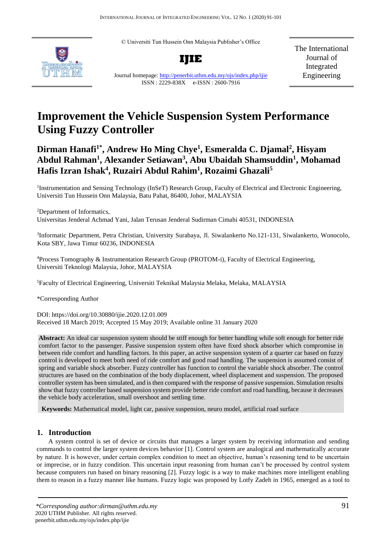© Universiti Tun Hussein Onn Malaysia Publisher's Office





Journal homepage:<http://penerbit.uthm.edu.my/ojs/index.php/ijie> ISSN : 2229-838X e-ISSN : 2600-7916

The International Journal of Integrated Engineering

# **Improvement the Vehicle Suspension System Performance Using Fuzzy Controller**

## **Dirman Hanafi1\* , Andrew Ho Ming Chye<sup>1</sup> , Esmeralda C. Djamal<sup>2</sup> , Hisyam Abdul Rahman<sup>1</sup> , Alexander Setiawan<sup>3</sup> , Abu Ubaidah Shamsuddin<sup>1</sup> , Mohamad Hafis Izran Ishak<sup>4</sup> , Ruzairi Abdul Rahim<sup>1</sup> , Rozaimi Ghazali<sup>5</sup>**

<sup>1</sup>Instrumentation and Sensing Technology (InSeT) Research Group, Faculty of Electrical and Electronic Engineering, Universiti Tun Hussein Onn Malaysia, Batu Pahat, 86400, Johor, MALAYSIA

<sup>2</sup>Department of Informatics,

Universitas Jenderal Achmad Yani, Jalan Terusan Jenderal Sudirman Cimahi 40531, INDONESIA

3 Informatic Department, Petra Christian, University Surabaya, Jl. Siwalankerto No.121-131, Siwalankerto, Wonocolo, Kota SBY, Jawa Timur 60236, INDONESIA

<sup>4</sup>Process Tomography & Instrumentation Research Group (PROTOM-i), Faculty of Electrical Engineering, Universiti Teknologi Malaysia, Johor, MALAYSIA

<sup>5</sup>Faculty of Electrical Engineering, Universiti Teknikal Malaysia Melaka, Melaka, MALAYSIA

\*Corresponding Author

DOI: https://doi.org/10.30880/ijie.2020.12.01.009 Received 18 March 2019; Accepted 15 May 2019; Available online 31 January 2020

**Abstract:** An ideal car suspension system should be stiff enough for better handling while soft enough for better ride comfort factor to the passenger. Passive suspension system often have fixed shock absorber which compromise in between ride comfort and handling factors. In this paper, an active suspension system of a quarter car based on fuzzy control is developed to meet both need of ride comfort and good road handling. The suspension is assumed consist of spring and variable shock absorber. Fuzzy controller has function to control the variable shock absorber. The control structures are based on the combination of the body displacement, wheel displacement and suspension. The proposed controller system has been simulated, and is then compared with the response of passive suspension. Simulation results show that fuzzy controller based suspension system provide better ride comfort and road handling, because it decreases the vehicle body acceleration, small overshoot and settling time.

**Keywords:** Mathematical model, light car, passive suspension, neuro model, artificial road surface

## **1. Introduction**

A system control is set of device or circuits that manages a larger system by receiving information and sending commands to control the larger system devices behavior [1]. Control system are analogical and mathematically accurate by nature. It is however, under certain complex condition to meet an objective, human's reasoning tend to be uncertain or imprecise, or in fuzzy condition. This uncertain input reasoning from human can't be processed by control system because computers run based on binary reasoning [2]. Fuzzy logic is a way to make machines more intelligent enabling them to reason in a fuzzy manner like humans. Fuzzy logic was proposed by Lotfy Zadeh in 1965, emerged as a tool to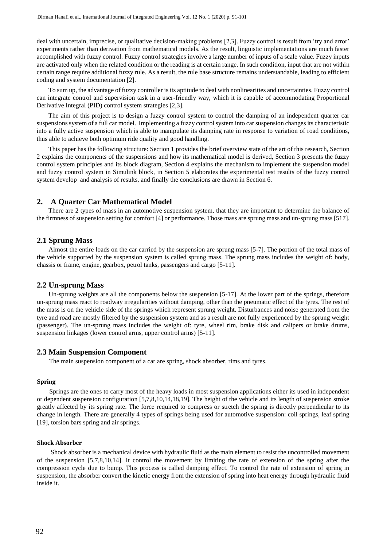deal with uncertain, imprecise, or qualitative decision-making problems [2,3]. Fuzzy control is result from 'try and error' experiments rather than derivation from mathematical models. As the result, linguistic implementations are much faster accomplished with fuzzy control. Fuzzy control strategies involve a large number of inputs of a scale value. Fuzzy inputs are activated only when the related condition or the reading is at certain range. In such condition, input that are not within certain range require additional fuzzy rule. As a result, the rule base structure remains understandable, leading to efficient coding and system documentation [2].

To sum up, the advantage of fuzzy controller is its aptitude to deal with nonlinearities and uncertainties. Fuzzy control can integrate control and supervision task in a user-friendly way, which it is capable of accommodating Proportional Derivative Integral (PID) control system strategies [2,3].

The aim of this project is to design a fuzzy control system to control the damping of an independent quarter car suspensions system of a full car model. Implementing a fuzzy control system into car suspension changes its characteristic into a fully active suspension which is able to manipulate its damping rate in response to variation of road conditions, thus able to achieve both optimum ride quality and good handling.

This paper has the following structure: Section 1 provides the brief overview state of the art of this research, Section 2 explains the components of the suspensions and how its mathematical model is derived, Section 3 presents the fuzzy control system principles and its block diagram, Section 4 explains the mechanism to implement the suspension model and fuzzy control system in Simulink block, in Section 5 elaborates the experimental test results of the fuzzy control system develop and analysis of results, and finally the conclusions are drawn in Section 6.

#### **2. A Quarter Car Mathematical Model**

There are 2 types of mass in an automotive suspension system, that they are important to determine the balance of the firmness of suspension setting for comfort [4] or performance. Those mass are sprung mass and un-sprung mass [517].

## **2.1 Sprung Mass**

Almost the entire loads on the car carried by the suspension are sprung mass [5-7]. The portion of the total mass of the vehicle supported by the suspension system is called sprung mass. The sprung mass includes the weight of: body, chassis or frame, engine, gearbox, petrol tanks, passengers and cargo [5-11].

#### **2.2 Un-sprung Mass**

Un-sprung weights are all the components below the suspension [5-17]. At the lower part of the springs, therefore un-sprung mass react to roadway irregularities without damping, other than the pneumatic effect of the tyres. The rest of the mass is on the vehicle side of the springs which represent sprung weight. Disturbances and noise generated from the tyre and road are mostly filtered by the suspension system and as a result are not fully experienced by the sprung weight (passenger). The un-sprung mass includes the weight of: tyre, wheel rim, brake disk and calipers or brake drums, suspension linkages (lower control arms, upper control arms) [5-11].

#### **2.3 Main Suspension Component**

The main suspension component of a car are spring, shock absorber, rims and tyres.

#### **Spring**

 Springs are the ones to carry most of the heavy loads in most suspension applications either its used in independent or dependent suspension configuration [5,7,8,10,14,18,19]. The height of the vehicle and its length of suspension stroke greatly affected by its spring rate. The force required to compress or stretch the spring is directly perpendicular to its change in length. There are generally 4 types of springs being used for automotive suspension: coil springs, leaf spring [19], torsion bars spring and air springs.

## **Shock Absorber**

Shock absorber is a mechanical device with hydraulic fluid as the main element to resist the uncontrolled movement of the suspension [5,7,8,10,14]. It control the movement by limiting the rate of extension of the spring after the compression cycle due to bump. This process is called damping effect. To control the rate of extension of spring in suspension, the absorber convert the kinetic energy from the extension of spring into heat energy through hydraulic fluid inside it.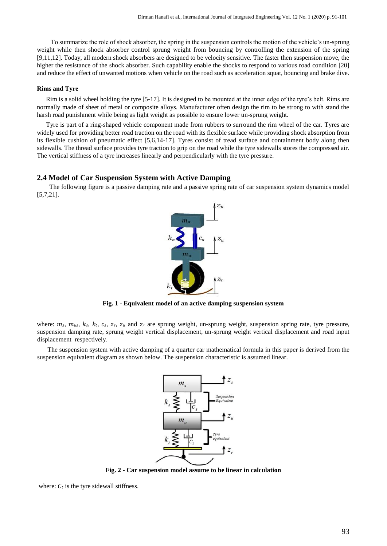To summarize the role of shock absorber, the spring in the suspension controls the motion of the vehicle's un-sprung weight while then shock absorber control sprung weight from bouncing by controlling the extension of the spring [9,11,12]. Today, all modern shock absorbers are designed to be velocity sensitive. The faster then suspension move, the higher the resistance of the shock absorber. Such capability enable the shocks to respond to various road condition [20] and reduce the effect of unwanted motions when vehicle on the road such as acceleration squat, bouncing and brake dive.

#### **Rims and Tyre**

Rim is a solid wheel holding the tyre [5-17]. It is designed to be mounted at the inner edge of the tyre's belt. Rims are normally made of sheet of metal or composite alloys. Manufacturer often design the rim to be strong to with stand the harsh road punishment while being as light weight as possible to ensure lower un-sprung weight.

Tyre is part of a ring-shaped vehicle component made from rubbers to surround the rim wheel of the car. Tyres are widely used for providing better road traction on the road with its flexible surface while providing shock absorption from its flexible cushion of pneumatic effect [5,6,14-17]. Tyres consist of tread surface and containment body along then sidewalls. The thread surface provides tyre traction to grip on the road while the tyre sidewalls stores the compressed air. The vertical stiffness of a tyre increases linearly and perpendicularly with the tyre pressure.

## **2.4 Model of Car Suspension System with Active Damping**

 The following figure is a passive damping rate and a passive spring rate of car suspension system dynamics model [5,7,21].



**Fig. 1 - Equivalent model of an active damping suspension system** 

where:  $m_s$ ,  $m_{us}$ ,  $k_s$ ,  $k_t$ ,  $c_s$ ,  $z_s$ ,  $z_u$  and  $z_r$  are sprung weight, un-sprung weight, suspension spring rate, tyre pressure, suspension damping rate, sprung weight vertical displacement, un-sprung weight vertical displacement and road input displacement respectively.

The suspension system with active damping of a quarter car mathematical formula in this paper is derived from the suspension equivalent diagram as shown below. The suspension characteristic is assumed linear.



**Fig. 2 - Car suspension model assume to be linear in calculation** 

where:  $C_t$  is the tyre sidewall stiffness.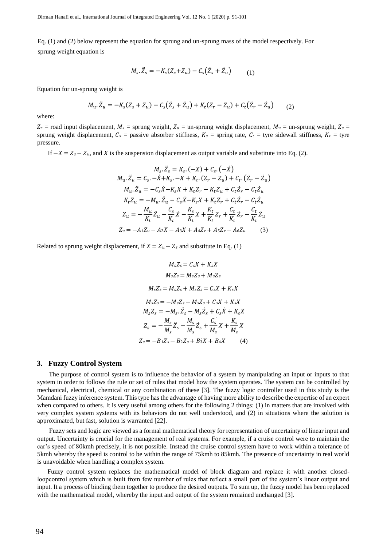Dirman Hanafi et al., International Journal of Integrated Engineering Vol. 12 No. 1 (2020) p. 91-101

Eq. (1) and (2) below represent the equation for sprung and un-sprung mass of the model respectively. For sprung weight equation is

$$
M_s. \ddot{Z}_s = -K_s (Z_s + Z_u) - C_s (\dot{Z}_s + \dot{Z}_u) \tag{1}
$$

Equation for un-sprung weight is

$$
M_u \cdot \ddot{Z}_u = -K_s (Z_s + Z_u) - C_s (\dot{Z}_s + \dot{Z}_u) + K_t (Z_r - Z_u) + C_t (\dot{Z}_r - \dot{Z}_u) \tag{2}
$$

where:

 $Z_r$  = road input displacement,  $M_s$  = sprung weight,  $Z_u$  = un-sprung weight displacement,  $M_u$  = un-sprung weight,  $Z_s$  = sprung weight displacement,  $C_s$  = passive absorber stiffness,  $K_s$  = spring rate,  $C_t$  = tyre sidewall stiffness,  $K_t$  = tyre pressure.

If  $-X = Z_s - Z_u$ , and X is the suspension displacement as output variable and substitute into Eq. (2).

$$
M_s \cdot \ddot{Z}_s = K_s \cdot (-X) + C_s \cdot (-\dot{X})
$$
  
\n
$$
M_u \cdot \ddot{Z}_u = C_s \cdot -\dot{X} + K_s \cdot -X + K_t \cdot (Z_r - Z_u) + C_t \cdot ( \dot{Z}_r - \dot{Z}_u )
$$
  
\n
$$
M_u \cdot \ddot{Z}_u = -C_s \dot{X} - K_s X + K_t Z_r - K_t Z_u + C_t \dot{Z}_r - C_t \dot{Z}_u
$$
  
\n
$$
K_t Z_u = -M_u \cdot \ddot{Z}_u - C_s \dot{X} - K_s X + K_t Z_r + C_t \dot{Z}_r - C_t \dot{Z}_u
$$
  
\n
$$
Z_u = -\frac{M_u}{K_t} \ddot{Z}_u - \frac{C_s}{K_t} \dot{X} - \frac{K_s}{K_t} X + \frac{K_t}{K_t} Z_r + \frac{C_t}{K_t} \dot{Z}_r - \frac{C_t}{K_t} \dot{Z}_u
$$
  
\n
$$
Z_u = -A_1 Z_u - A_2 X - A_3 X + A_4 Z_r + A_5 Z_r - A_6 Z_u
$$
 (3)

Related to sprung weight displacement, if  $X = Z_u - Z_s$  and substitute in Eq. (1)

$$
M_s Z_s = C_s X + K_s X
$$
  
\n
$$
M_s Z_s = M_s Z_s + M_s Z_s
$$
  
\n
$$
M_s Z_s = M_s Z_s + M_s Z_s = C_s X + K_s X
$$
  
\n
$$
M_s Z_s = -M_s Z_s - M_s Z_s + C_s X + K_s X
$$
  
\n
$$
M_s Z_s = -M_s, \ddot{Z}_s - M_s \dot{Z}_s + C_s \dot{X} + K_s X
$$
  
\n
$$
Z_s = -\frac{M_s}{M_s} \ddot{Z}_s - \frac{M_s}{M_s} \dot{Z}_s + \frac{C_s}{M_s} X + \frac{K_s}{M_s} X
$$
  
\n
$$
Z_s = -B_1 Z_s - B_2 Z_s + B_3 X + B_4 X
$$
 (4)

#### **3. Fuzzy Control System**

The purpose of control system is to influence the behavior of a system by manipulating an input or inputs to that system in order to follows the rule or set of rules that model how the system operates. The system can be controlled by mechanical, electrical, chemical or any combination of these [3]. The fuzzy logic controller used in this study is the Mamdani fuzzy inference system. This type has the advantage of having more ability to describe the expertise of an expert when compared to others. It is very useful among others for the following 2 things: (1) in matters that are involved with very complex system systems with its behaviors do not well understood, and (2) in situations where the solution is approximated, but fast, solution is warranted [22].

Fuzzy sets and logic are viewed as a formal mathematical theory for representation of uncertainty of linear input and output. Uncertainty is crucial for the management of real systems. For example, if a cruise control were to maintain the car's speed of 80kmh precisely, it is not possible. Instead the cruise control system have to work within a tolerance of 5kmh whereby the speed is control to be within the range of 75kmh to 85kmh. The presence of uncertainty in real world is unavoidable when handling a complex system.

Fuzzy control system replaces the mathematical model of block diagram and replace it with another closedloopcontrol system which is built from few number of rules that reflect a small part of the system's linear output and input. It a process of binding them together to produce the desired outputs. To sum up, the fuzzy model has been replaced with the mathematical model, whereby the input and output of the system remained unchanged [3].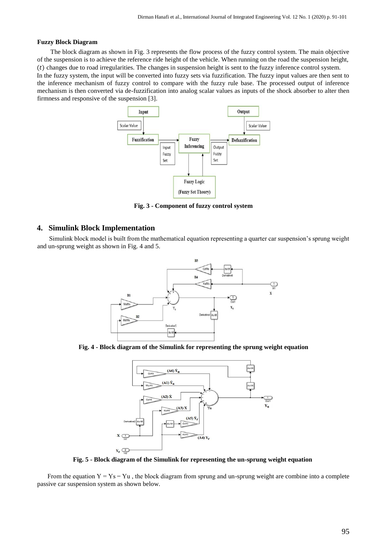#### **Fuzzy Block Diagram**

The block diagram as shown in Fig. 3 represents the flow process of the fuzzy control system. The main objective of the suspension is to achieve the reference ride height of the vehicle. When running on the road the suspension height,  $(t)$  changes due to road irregularities. The changes in suspension height is sent to the fuzzy inference control system. In the fuzzy system, the input will be converted into fuzzy sets via fuzzification. The fuzzy input values are then sent to the inference mechanism of fuzzy control to compare with the fuzzy rule base. The processed output of inference mechanism is then converted via de-fuzzification into analog scalar values as inputs of the shock absorber to alter then firmness and responsive of the suspension [3].



**Fig. 3 - Component of fuzzy control system** 

## **4. Simulink Block Implementation**

Simulink block model is built from the mathematical equation representing a quarter car suspension's sprung weight and un-sprung weight as shown in Fig. 4 and 5.



**Fig. 4 - Block diagram of the Simulink for representing the sprung weight equation** 



**Fig. 5 - Block diagram of the Simulink for representing the un-sprung weight equation**

From the equation  $Y = Ys - Yu$ , the block diagram from sprung and un-sprung weight are combine into a complete passive car suspension system as shown below.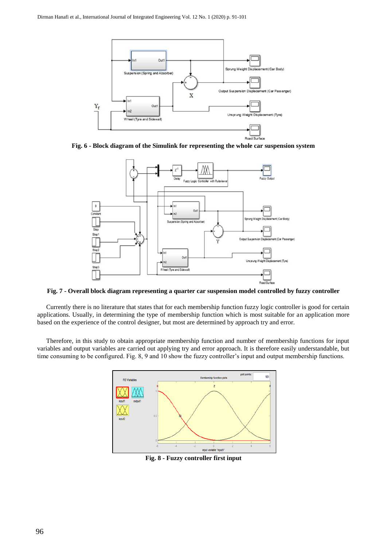

**Fig. 6 - Block diagram of the Simulink for representing the whole car suspension system** 



**Fig. 7 - Overall block diagram representing a quarter car suspension model controlled by fuzzy controller**

Currently there is no literature that states that for each membership function fuzzy logic controller is good for certain applications. Usually, in determining the type of membership function which is most suitable for an application more based on the experience of the control designer, but most are determined by approach try and error.

Therefore, in this study to obtain appropriate membership function and number of membership functions for input variables and output variables are carried out applying try and error approach. It is therefore easily understandable, but time consuming to be configured. Fig. 8, 9 and 10 show the fuzzy controller's input and output membership functions.



**Fig. 8 - Fuzzy controller first input**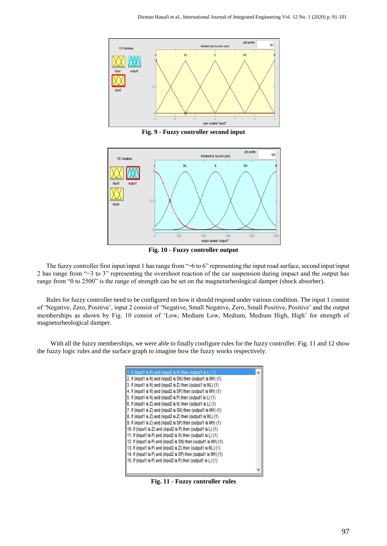

**Fig. 9 - Fuzzy controller second input** 



**Fig. 10 - Fuzzy controller output** 

The fuzzy controller first input/input 1 has range from "–6 to 6" representing the input road surface, second input/input 2 has range from "–3 to 3" representing the overshoot reaction of the car suspension during impact and the output has range from "0 to 2500" is the range of strength can be set on the magnetorheological damper (shock absorber).

Rules for fuzzy controller need to be configured on how it should respond under various condition. The input 1 consist of 'Negative, Zero, Positive', input 2 consist of 'Negative, Small Negative, Zero, Small Positive, Positive' and the output memberships as shown by Fig. 10 consist of 'Low, Medium Low, Medium, Medium High, High' for strength of magnetorheological damper.

With all the fuzzy memberships, we were able to finally configure rules for the fuzzy controller. Fig. 11 and 12 show the fuzzy logic rules and the surface graph to imagine how the fuzzy works respectively.



**Fig. 11 - Fuzzy controller rules**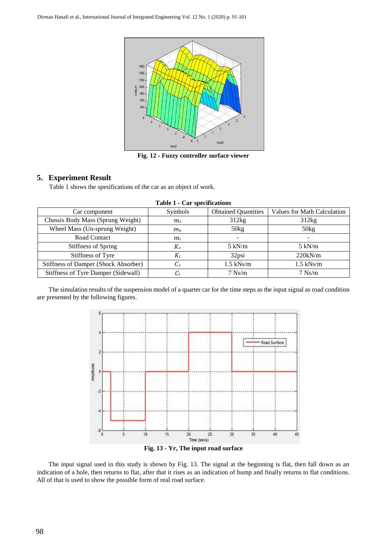

**Fig. 12 - Fuzzy controller surface viewer** 

## **5. Experiment Result**

Table 1 shows the spesifications of the car as an object of work.

| Car component                        | Symbols         | <b>Obtained Quantities</b> | Values for Math Calculation |
|--------------------------------------|-----------------|----------------------------|-----------------------------|
| Chassis Body Mass (Sprung Weight)    | m <sub>s</sub>  | 312kg                      | 312kg                       |
| Wheel Mass (Un-sprung Weight)        | $m_u$           | 50kg                       | 50kg                        |
| Road Contact                         | $m_r$           | -                          |                             |
| Stiffness of Spring                  | $K_s$           | $5 \text{ kN/m}$           | $5 \text{ kN/m}$            |
| Stiffness of Tyre                    | $K_t$           | 32psi                      | 220kN/m                     |
| Stiffness of Damper (Shock Absorber) | $\mathcal{C}_s$ | $1.5$ kNs/m                | $1.5$ kNs/m                 |
| Stiffness of Tyre Damper (Sidewall)  | l.t             | $7$ Ns/m                   | $7$ Ns/m                    |

**Table 1 - Car specifications** 

The simulation results of the suspension model of a quarter car for the time steps as the input signal as road condition are presented by the following figures.



**Fig. 13 - Yr, The input road surface** 

The input signal used in this study is shown by Fig. 13. The signal at the beginning is flat, then fall down as an indication of a hole, then returns to flat, after that it rises as an indication of bump and finally returns to flat conditions. All of that is used to show the possible form of real road surface.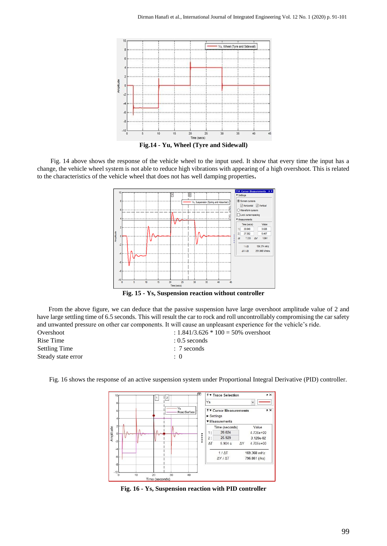

**Fig.14 - Yu, Wheel (Tyre and Sidewall)** 

Fig. 14 above shows the response of the vehicle wheel to the input used. It show that every time the input has a change, the vehicle wheel system is not able to reduce high vibrations with appearing of a high overshoot. This is related to the characteristics of the vehicle wheel that does not has well damping properties**.** 



**Fig. 15 - Ys, Suspension reaction without controller** 

From the above figure, we can deduce that the passive suspension have large overshoot amplitude value of 2 and have large settling time of 6.5 seconds. This will result the car to rock and roll uncontrollably compromising the car safety and unwanted pressure on other car components. It will cause an unpleasant experience for the vehicle's ride. Overshoot : 1.841/3.626 \* 100 = 50% overshoot

Rise Time : 0.5 seconds Settling Time : 7 seconds Steady state error : 0

> ₹ Trace Selection  $\overline{\phantom{1}}$  $\sqrt{2}$ Ys Ys **FY Cursor Measurements**  $\overline{ }$ Road Surfa  $\triangleright$  Settings **v** Measurements Time (seconds) Value Amplitude 20 024  $4.736 + 00$  $11$ \*\*\*\*\*  $|2|$ 25.929 3.120e-02  $\Delta T$  $5.904 s$ ΔY  $4.705e+00$  $1/AT$ 169 368 mHz  $\Delta Y / \Delta T$ 796.861 (/ks) 40 Time (seconds)

Fig. 16 shows the response of an active suspension system under Proportional Integral Derivative (PID) controller.

**Fig. 16 - Ys, Suspension reaction with PID controller**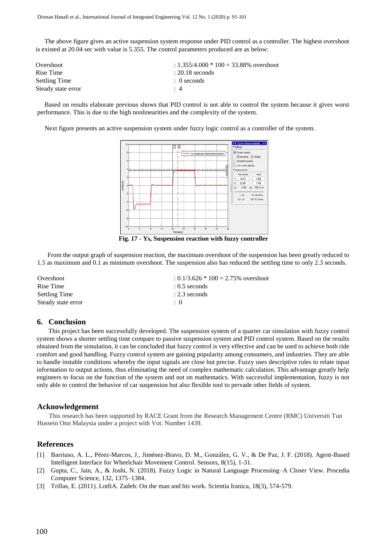The above figure gives an active suspension system response under PID control as a controller. The highest overshoot is existed at 20.04 sec with value is 5.355. The control parameters produced are as below:

| Overshoot          | $: 1.355/4.000 * 100 = 33.88\%$ overshoot |
|--------------------|-------------------------------------------|
| Rise Time          | $: 20.18$ seconds                         |
| Settling Time      | $: 0$ seconds                             |
| Steady state error | $\cdot$ 4                                 |

Based on results elaborate previous shows that PID control is not able to control the system because it gives worst performance. This is due to the high nonlinearities and the complexity of the system.

Next figure presents an active suspension system under fuzzy logic control as a controller of the system.



**Fig. 17 - Ys, Suspension reaction with fuzzy controller** 

From the output graph of suspension reaction, the maximum overshoot of the suspension has been greatly reduced to 1.5 as maximum and 0.1 as minimum overshoot. The suspension also has reduced the settling time to only 2.3 seconds.

Overshoot :  $0.1/3.626 * 100 = 2.75%$  overshoot Rise Time : 0.5 seconds Settling Time : 2.3 seconds Steady state error  $\cdot$  0

## **6. Conclusion**

This project has been successfully developed. The suspension system of a quarter car simulation with fuzzy control system shows a shorter settling time compare to passive suspension system and PID control system. Based on the results obtained from the simulation, it can be concluded that fuzzy control is very effective and can be used to achieve both ride comfort and good handling. Fuzzy control system are gaining popularity among consumers, and industries. They are able to handle instable conditions whereby the input signals are close but precise. Fuzzy uses descriptive rules to relate input information to output actions, thus eliminating the need of complex mathematic calculation. This advantage greatly help engineers to focus on the function of the system and not on mathematics. With successful implementation, fuzzy is not only able to control the behavior of car suspension but also flexible tool to pervade other fields of system.

## **Acknowledgement**

This research has been supported by RACE Grant from the Research Management Centre (RMC) Universiti Tun Hussein Onn Malaysia under a project with Vot. Number 1439.

## **References**

- [1] Barriuso, A. L., Pérez-Marcos, J., Jiménez-Bravo, D. M., González, G. V., & De Paz, J. F. (2018). Agent-Based Intelligent Interface for Wheelchair Movement Control. Sensors, 8(15), 1-31.
- [2] Gupta, C., Jain, A., & Joshi, N. (2018). Fuzzy Logic in Natural Language Processing–A Closer View. Procedia Computer Science, 132, 1375–1384.
- [3] Trillas, E. (2011). LotfiA. Zadeh: On the man and his work. Scientia Iranica, 18(3), 574-579.